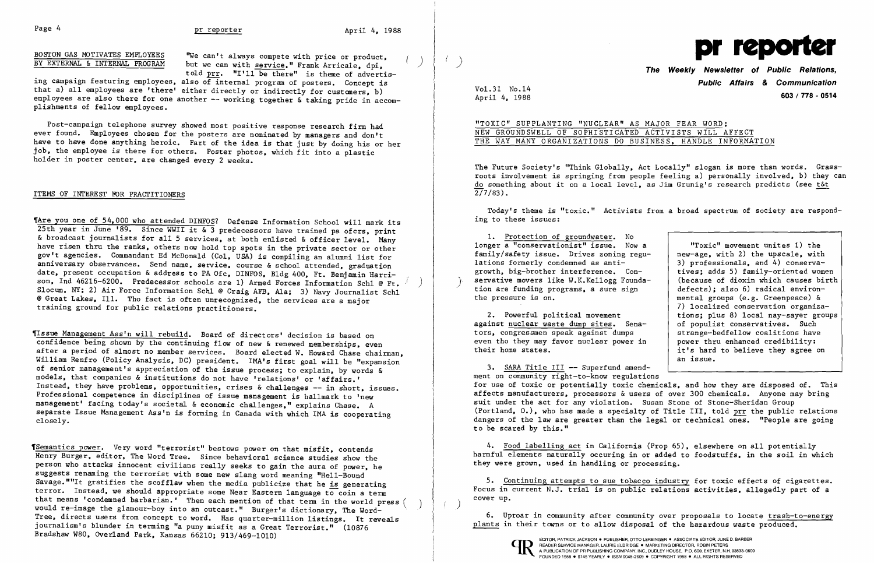BOSTON GAS MOTIVATES EMPLOYEES 'We can't always compete with price or product, product, product and price or product, product, product, product, product, product, product, product, product, product, product, product, produ BOSTON GAS MOTIVATES EMPLOYEES "We can't always compete with price or product,  $\begin{pmatrix} 0 & 1 \\ 0 & 1 \end{pmatrix}$ 

ing campaign featuring employees, also of internal program of posters. Concept is that a) all employees are 'there' either directly or indirectly for customers, b) employees are also there for one another -- working together & taking pride in accomplishments of fellow employees.

Post-campaign telephone survey showed most positive response research firm had ever found. Employees chosen for the posters are nominated by managers and don't have to have done anything heroic. Part of the idea is that just by doing his or her job, the employee is there for others. Poster photos, which fit into a plastic holder in poster center, are changed every 2 weeks.

## ITEMS OF INTEREST FOR PRACTITIONERS

'Are you one of 54,000 who attended DINFOS? Defense Information School will mark its 25th year in June '89. Since WWII it & 3 predecessors have trained pa ofcrs, print & broadcast journalists for all 5 services, at both enlisted & officer level. Many have risen thru the ranks, others now hold top spots in the private sector or other gov't agencies. Commandant Ed McDonald (Col, USA) is compiling an alumni list for anniversary observances. Send name, service, course & school attended, graduation date, present occupation & address to PA Ofc, DINFOS, B1dg 400, Ft. Benjamin Harrison, Ind 46216-6200. Predecessor schools are 1) Armed Forces Information Schl @ Ft. Slocum, NY; 2) Air Force Information Schl @ Craig AFB, Ala; 3) Navy Journalist Schl @ Great Lakes, Ill. Tho fact is often unrecognized, the services are a major training ground for public relations practitioners.

## The Weekly Newsletter of Public Relations,<br>
told prr. "I'll be there" is theme of advertis-**Public Affairs** *&* **Communication**  April 4, 1988 **603/778 - <sup>0514</sup>**

The Future Society's "Think Globally, Act Locally" slogan is more than words. Grassroots involvement is springing from people feeling a) personally involved, b) they can do something about it on a local level, as Jim Grunig's research predicts (see t&t  $\sqrt{277/83}$ .

'Issue Management Ass'n will rebuild. Board of directors' decision is based on confidence being shown by the continuing flow of new & renewed memberships, even after a period of almost no member services. Board elected W. Howard Chase chairman, William Renfro (Policy Analysis, DC) president. IMA's first goal will be "expansion of senior management's appreciation of the issue process; to explain, by words & models, that companies & institutions do not have 'relations' or 'affairs.' Instead, they have problems, opportunities, crises & challenges -- in short, issues. Professional competence in disciplines of issue management is hallmark to 'new management' facing today's societal & economic challenges," explains Chase. A separate Issue Management Ass'n is forming in Canada with which IMA is cooperating closely.

> 5. Continuing attempts to sue tobacco industry for toxic effects of cigarettes. Focus in current N.J. trial is on public relations activities, allegedly part of a  $\left(\begin{array}{c} \end{array}\right)$  cover up.

> > EDITOR, PATRICK JACKSON. PUBLISHER, OTTO LERBINGER • ASSOCIATE EDITOR, JUNE D. BARBER A PUBLICATION OF PR PUBLISHING COMPANY, INC., DUDLEY HOUSE, P.O. 600, EXETER, N.H. 03833-0600 FOUNDED 1958 · \$145 YEARLY · ISSN 0048-2609 · COPYRIGHT 1988 · ALL RIGHTS RESERVED



'Semantics power. Very word "terrorist" bestows power on that misfit, contends Henry Burger, editor, The Word Tree. Since behavioral science studies show the person who attacks innocent civilians really seeks to gain the aura of power, he suggests renaming the terrorist with some new slang word meaning "Hell-Bound Savage.""It gratifies the scofflaw when the media publicize that he is generating terror. Instead, we should appropriate some Near Eastern language to coin a term that means 'condemned barbarian.' Then each mention of that term in the world press ( ) would re-image the glamour-boy into an outcast." Burger's dictionary, The Word- " Tree, directs users from concept to word. Has quarter-million listings. It reveals journalism's blunder in terming "a puny misfit as a Great Terrorist." (10876 Bradshaw W80, Overland Park, Kansas 66210; 913/469-1010)

Vo1.31 No.14

"TOXIC" SUPPLANTING "NUCLEAR" AS MAJOR FEAR WORD; NEW GROUNDSWELL OF SOPHISTICATED ACTIVISTS WILL AFFECT THE WAY MANY ORGANIZATIONS DO BUSINESS, HANDLE INFORMATION

Today's theme is "toxic." Activists from a broad spectrum of society are responding to these issues:

1. Protection of groundwater. No

longer a "conservationist" issue. Now a "Toxic" movement unites 1) the<br>new-age, with 2) the upscale, with family/safety issue. Drives zoning regu-<br>  $\begin{array}{|l|l|}\n1$  ations formerly condemned as anti-<br>  $\begin{array}{|l|l|}\n3) & \text{professionals, and 4} \n\end{array}$  conservalations formerly condemned as anti-<br>growth, big-brother interference,  $Con-$ <br>tives: adds 5) family-oriented women growth, big-brother interference. Con-<br>servative movers like W.K.Kellogg Founda- (because of dioxin which causes birth servative movers like W.K.Kellogg Founda-<br>tion are funding programs, a sure sign defects); also 6) radical environ-<br>the pressure is on.<br> $\begin{array}{c|c}\n\text{the pressure is on.}\n\end{array}$ mental groups (e.g. Greenpeace)  $\delta$ 7) localized conservation organiza-2. Powerful political movement  $\begin{array}{|l|} \hline \end{array}$  tions; plus 8) local nay-sayer groups inst nuclear waste dump sites. Sena-  $\begin{array}{|l|} \hline \end{array}$  of populist conservatives. Such against nuclear waste dump sites. Sena-<br>
tors, congressmen speak against dumps<br>
xtrange-bedfellow coalitions have tors, congressmen speak against dumps strange-bedfellow coalitions have<br>even tho they may favor nuclear power in power thru enhanced credibility: even tho they may favor nuclear power in<br>their home states. it's hard to believe they agree on an issue.

3. SARA Title III -- Superfund amendment on community right-to-know regulations for use of toxic or potentially toxic chemicals, and how they are disposed of. This affects manufacturers, processors & users of over 300 chemicals. Anyone may bring suit under the act for any violation. Susan Stone of Stone-Sheridan Group (Portland, 0.), who has made a specialty of Title III, told prr the public relations dangers of the law are greater than the legal or technical ones. "People are going to be scared by this."

4. Food labelling act in California (Prop 65), elsewhere on all potentially harmful elements naturally occuring in or added to foodstuffs, in the soil in which they were grown, used in handling or processing.

6. Uproar in community after community over proposals to locate trash-to-energy plants in their towns or to allow disposal of the hazardous waste produced.